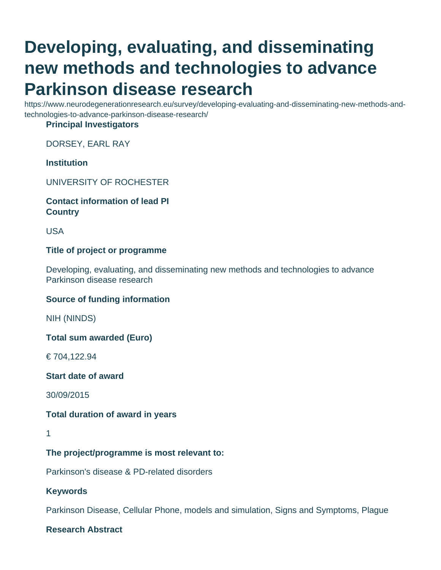# **Developing, evaluating, and disseminating new methods and technologies to advance Parkinson disease research**

https://www.neurodegenerationresearch.eu/survey/developing-evaluating-and-disseminating-new-methods-andtechnologies-to-advance-parkinson-disease-research/

#### **Principal Investigators**

DORSEY, EARL RAY

## **Institution**

UNIVERSITY OF ROCHESTER

#### **Contact information of lead PI Country**

USA

## **Title of project or programme**

Developing, evaluating, and disseminating new methods and technologies to advance Parkinson disease research

#### **Source of funding information**

NIH (NINDS)

**Total sum awarded (Euro)**

€ 704,122.94

**Start date of award**

30/09/2015

#### **Total duration of award in years**

# **The project/programme is most relevant to:**

Parkinson's disease & PD-related disorders

**Keywords**

Parkinson Disease, Cellular Phone, models and simulation, Signs and Symptoms, Plague

**Research Abstract**

<sup>1</sup>